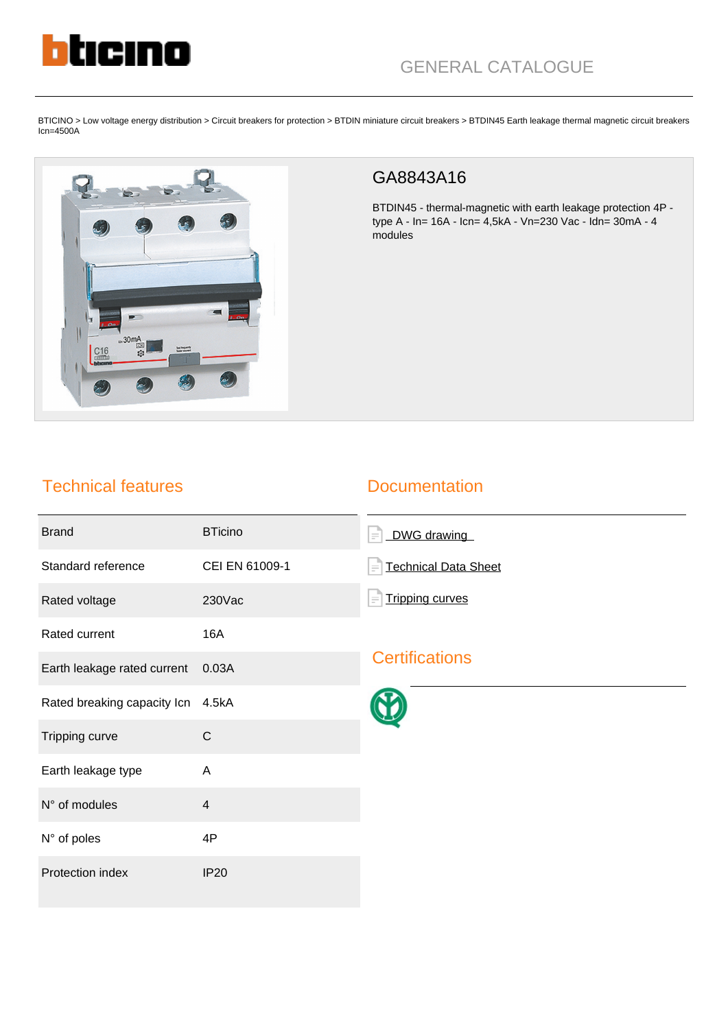

BTICINO > Low voltage energy distribution > Circuit breakers for protection > BTDIN miniature circuit breakers > BTDIN45 Earth leakage thermal magnetic circuit breakers  $Icn=4500A$ 



## GA8843A16

BTDIN45 - thermal-magnetic with earth leakage protection 4P type A - In= 16A - Icn= 4,5kA - Vn=230 Vac - Idn= 30mA - 4 modules

## Technical features

## **Documentation**

| <b>Brand</b>                | <b>BTicino</b> | DWG drawing<br>$\equiv$            |
|-----------------------------|----------------|------------------------------------|
| Standard reference          | CEI EN 61009-1 | <b>Technical Data Sheet</b>        |
| Rated voltage               | 230Vac         | <b>Tripping curves</b><br>$\equiv$ |
| Rated current               | 16A            |                                    |
| Earth leakage rated current | 0.03A          | <b>Certifications</b>              |
| Rated breaking capacity Icn | 4.5kA          |                                    |
| Tripping curve              | $\mathsf{C}$   |                                    |
| Earth leakage type          | A              |                                    |
| N° of modules               | 4              |                                    |
| N° of poles                 | 4P             |                                    |
| Protection index            | <b>IP20</b>    |                                    |